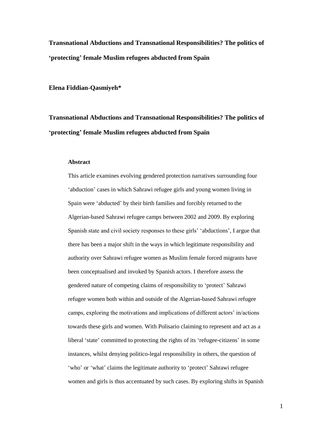**Transnational Abductions and Transnational Responsibilities? The politics of 'protecting' female Muslim refugees abducted from Spain**

**Elena Fiddian-Qasmiyeh\***

**Transnational Abductions and Transnational Responsibilities? The politics of 'protecting' female Muslim refugees abducted from Spain**

#### **Abstract**

This article examines evolving gendered protection narratives surrounding four 'abduction' cases in which Sahrawi refugee girls and young women living in Spain were 'abducted' by their birth families and forcibly returned to the Algerian-based Sahrawi refugee camps between 2002 and 2009. By exploring Spanish state and civil society responses to these girls' 'abductions', I argue that there has been a major shift in the ways in which legitimate responsibility and authority over Sahrawi refugee women as Muslim female forced migrants have been conceptualised and invoked by Spanish actors. I therefore assess the gendered nature of competing claims of responsibility to 'protect' Sahrawi refugee women both within and outside of the Algerian-based Sahrawi refugee camps, exploring the motivations and implications of different actors' in/actions towards these girls and women. With Polisario claiming to represent and act as a liberal 'state' committed to protecting the rights of its 'refugee-citizens' in some instances, whilst denying politico-legal responsibility in others, the question of 'who' or 'what' claims the legitimate authority to 'protect' Sahrawi refugee women and girls is thus accentuated by such cases. By exploring shifts in Spanish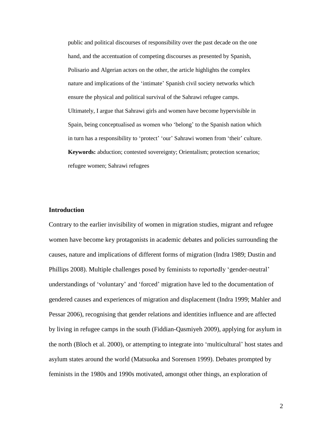public and political discourses of responsibility over the past decade on the one hand, and the accentuation of competing discourses as presented by Spanish, Polisario and Algerian actors on the other, the article highlights the complex nature and implications of the 'intimate' Spanish civil society networks which ensure the physical and political survival of the Sahrawi refugee camps. Ultimately, I argue that Sahrawi girls and women have become hypervisible in Spain, being conceptualised as women who 'belong' to the Spanish nation which in turn has a responsibility to 'protect' 'our' Sahrawi women from 'their' culture. **Keywords:** abduction; contested sovereignty; Orientalism; protection scenarios; refugee women; Sahrawi refugees

# **Introduction**

Contrary to the earlier invisibility of women in migration studies, migrant and refugee women have become key protagonists in academic debates and policies surrounding the causes, nature and implications of different forms of migration (Indra 1989; Dustin and Phillips 2008). Multiple challenges posed by feminists to reportedly 'gender-neutral' understandings of 'voluntary' and 'forced' migration have led to the documentation of gendered causes and experiences of migration and displacement (Indra 1999; Mahler and Pessar 2006), recognising that gender relations and identities influence and are affected by living in refugee camps in the south (Fiddian-Qasmiyeh 2009), applying for asylum in the north (Bloch et al. 2000), or attempting to integrate into 'multicultural' host states and asylum states around the world (Matsuoka and Sorensen 1999). Debates prompted by feminists in the 1980s and 1990s motivated, amongst other things, an exploration of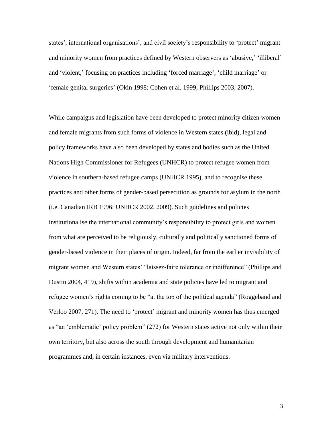states', international organisations', and civil society's responsibility to 'protect' migrant and minority women from practices defined by Western observers as 'abusive,' 'illiberal' and 'violent,' focusing on practices including 'forced marriage', 'child marriage' or 'female genital surgeries' (Okin 1998; Cohen et al. 1999; Phillips 2003, 2007).

While campaigns and legislation have been developed to protect minority citizen women and female migrants from such forms of violence in Western states (ibid), legal and policy frameworks have also been developed by states and bodies such as the United Nations High Commissioner for Refugees (UNHCR) to protect refugee women from violence in southern-based refugee camps (UNHCR 1995), and to recognise these practices and other forms of gender-based persecution as grounds for asylum in the north (i.e. Canadian IRB 1996; UNHCR 2002, 2009). Such guidelines and policies institutionalise the international community's responsibility to protect girls and women from what are perceived to be religiously, culturally and politically sanctioned forms of gender-based violence in their places of origin. Indeed, far from the earlier invisibility of migrant women and Western states' "laissez-faire tolerance or indifference" (Phillips and Dustin 2004, 419), shifts within academia and state policies have led to migrant and refugee women's rights coming to be "at the top of the political agenda" (Roggeband and Verloo 2007, 271). The need to 'protect' migrant and minority women has thus emerged as "an 'emblematic' policy problem" (272) for Western states active not only within their own territory, but also across the south through development and humanitarian programmes and, in certain instances, even via military interventions.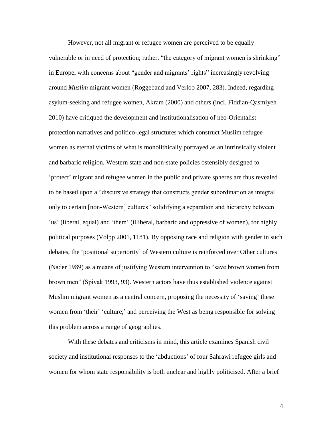However, not all migrant or refugee women are perceived to be equally vulnerable or in need of protection; rather, "the category of migrant women is shrinking" in Europe, with concerns about "gender and migrants' rights" increasingly revolving around *Muslim* migrant women (Roggeband and Verloo 2007, 283). Indeed, regarding asylum-seeking and refugee women, Akram (2000) and others (incl. Fiddian-Qasmiyeh 2010) have critiqued the development and institutionalisation of neo-Orientalist protection narratives and politico-legal structures which construct Muslim refugee women as eternal victims of what is monolithically portrayed as an intrinsically violent and barbaric religion. Western state and non-state policies ostensibly designed to 'protect' migrant and refugee women in the public and private spheres are thus revealed to be based upon a "discursive strategy that constructs gender subordination as integral only to certain [non-Western] cultures" solidifying a separation and hierarchy between 'us' (liberal, equal) and 'them' (illiberal, barbaric and oppressive of women), for highly political purposes (Volpp 2001, 1181). By opposing race and religion with gender in such debates, the 'positional superiority' of Western culture is reinforced over Other cultures (Nader 1989) as a means of justifying Western intervention to "save brown women from brown men" (Spivak 1993, 93). Western actors have thus established violence against Muslim migrant women as a central concern, proposing the necessity of 'saving' these women from 'their' 'culture,' and perceiving the West as being responsible for solving this problem across a range of geographies.

With these debates and criticisms in mind, this article examines Spanish civil society and institutional responses to the 'abductions' of four Sahrawi refugee girls and women for whom state responsibility is both unclear and highly politicised. After a brief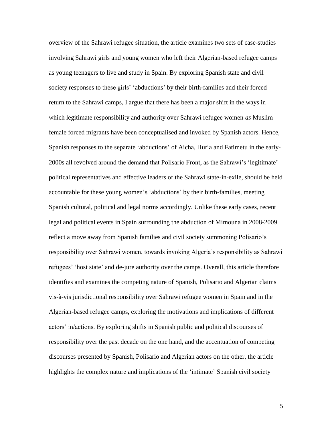overview of the Sahrawi refugee situation, the article examines two sets of case-studies involving Sahrawi girls and young women who left their Algerian-based refugee camps as young teenagers to live and study in Spain. By exploring Spanish state and civil society responses to these girls' 'abductions' by their birth-families and their forced return to the Sahrawi camps, I argue that there has been a major shift in the ways in which legitimate responsibility and authority over Sahrawi refugee women *as* Muslim female forced migrants have been conceptualised and invoked by Spanish actors. Hence, Spanish responses to the separate 'abductions' of Aicha, Huria and Fatimetu in the early-2000s all revolved around the demand that Polisario Front, as the Sahrawi's 'legitimate' political representatives and effective leaders of the Sahrawi state-in-exile, should be held accountable for these young women's 'abductions' by their birth-families, meeting Spanish cultural, political and legal norms accordingly. Unlike these early cases, recent legal and political events in Spain surrounding the abduction of Mimouna in 2008-2009 reflect a move away from Spanish families and civil society summoning Polisario's responsibility over Sahrawi women, towards invoking Algeria's responsibility as Sahrawi refugees' 'host state' and de-jure authority over the camps. Overall, this article therefore identifies and examines the competing nature of Spanish, Polisario and Algerian claims vis-à-vis jurisdictional responsibility over Sahrawi refugee women in Spain and in the Algerian-based refugee camps, exploring the motivations and implications of different actors' in/actions. By exploring shifts in Spanish public and political discourses of responsibility over the past decade on the one hand, and the accentuation of competing discourses presented by Spanish, Polisario and Algerian actors on the other, the article highlights the complex nature and implications of the 'intimate' Spanish civil society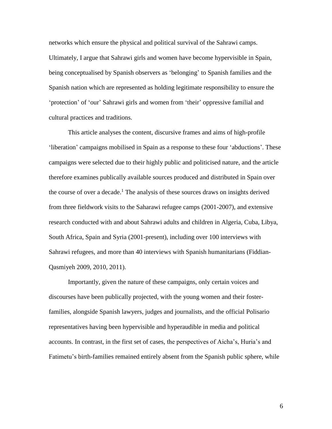networks which ensure the physical and political survival of the Sahrawi camps. Ultimately, I argue that Sahrawi girls and women have become hypervisible in Spain, being conceptualised by Spanish observers as 'belonging' to Spanish families and the Spanish nation which are represented as holding legitimate responsibility to ensure the 'protection' of 'our' Sahrawi girls and women from 'their' oppressive familial and cultural practices and traditions.

This article analyses the content, discursive frames and aims of high-profile 'liberation' campaigns mobilised in Spain as a response to these four 'abductions'. These campaigns were selected due to their highly public and politicised nature, and the article therefore examines publically available sources produced and distributed in Spain over the course of over a decade. <sup>1</sup> The analysis of these sources draws on insights derived from three fieldwork visits to the Saharawi refugee camps (2001-2007), and extensive research conducted with and about Sahrawi adults and children in Algeria, Cuba, Libya, South Africa, Spain and Syria (2001-present), including over 100 interviews with Sahrawi refugees, and more than 40 interviews with Spanish humanitarians (Fiddian-Qasmiyeh 2009, 2010, 2011).

Importantly, given the nature of these campaigns, only certain voices and discourses have been publically projected, with the young women and their fosterfamilies, alongside Spanish lawyers, judges and journalists, and the official Polisario representatives having been hypervisible and hyperaudible in media and political accounts. In contrast, in the first set of cases, the perspectives of Aicha's, Huria's and Fatimetu's birth-families remained entirely absent from the Spanish public sphere, while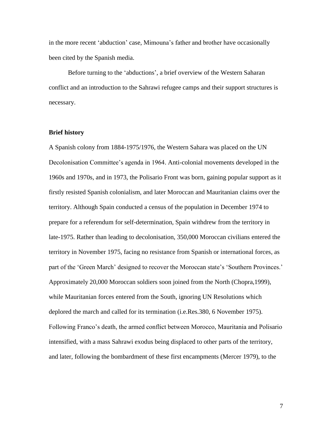in the more recent 'abduction' case, Mimouna's father and brother have occasionally been cited by the Spanish media.

Before turning to the 'abductions', a brief overview of the Western Saharan conflict and an introduction to the Sahrawi refugee camps and their support structures is necessary.

# **Brief history**

A Spanish colony from 1884-1975/1976, the Western Sahara was placed on the UN Decolonisation Committee's agenda in 1964. Anti-colonial movements developed in the 1960s and 1970s, and in 1973, the Polisario Front was born, gaining popular support as it firstly resisted Spanish colonialism, and later Moroccan and Mauritanian claims over the territory. Although Spain conducted a census of the population in December 1974 to prepare for a referendum for self-determination, Spain withdrew from the territory in late-1975. Rather than leading to decolonisation, 350,000 Moroccan civilians entered the territory in November 1975, facing no resistance from Spanish or international forces, as part of the 'Green March' designed to recover the Moroccan state's 'Southern Provinces.' Approximately 20,000 Moroccan soldiers soon joined from the North (Chopra,1999), while Mauritanian forces entered from the South, ignoring UN Resolutions which deplored the march and called for its termination (i.e.Res.380, 6 November 1975). Following Franco's death, the armed conflict between Morocco, Mauritania and Polisario intensified, with a mass Sahrawi exodus being displaced to other parts of the territory, and later, following the bombardment of these first encampments (Mercer 1979), to the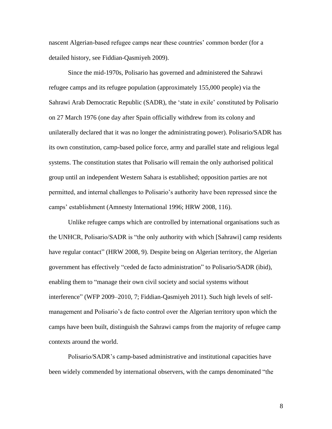nascent Algerian-based refugee camps near these countries' common border (for a detailed history, see Fiddian-Qasmiyeh 2009).

Since the mid-1970s, Polisario has governed and administered the Sahrawi refugee camps and its refugee population (approximately 155,000 people) via the Sahrawi Arab Democratic Republic (SADR), the 'state in exile' constituted by Polisario on 27 March 1976 (one day after Spain officially withdrew from its colony and unilaterally declared that it was no longer the administrating power). Polisario/SADR has its own constitution, camp-based police force, army and parallel state and religious legal systems. The constitution states that Polisario will remain the only authorised political group until an independent Western Sahara is established; opposition parties are not permitted, and internal challenges to Polisario's authority have been repressed since the camps' establishment (Amnesty International 1996; HRW 2008, 116).

Unlike refugee camps which are controlled by international organisations such as the UNHCR, Polisario/SADR is "the only authority with which [Sahrawi] camp residents have regular contact" (HRW 2008, 9). Despite being on Algerian territory, the Algerian government has effectively "ceded de facto administration" to Polisario/SADR (ibid), enabling them to "manage their own civil society and social systems without interference" (WFP 2009–2010, 7; Fiddian-Qasmiyeh 2011). Such high levels of selfmanagement and Polisario's de facto control over the Algerian territory upon which the camps have been built, distinguish the Sahrawi camps from the majority of refugee camp contexts around the world.

Polisario/SADR's camp-based administrative and institutional capacities have been widely commended by international observers, with the camps denominated "the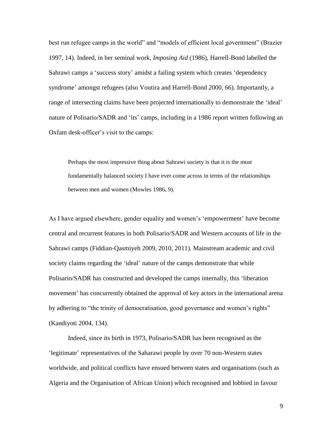best run refugee camps in the world" and "models of efficient local government" (Brazier 1997, 14). Indeed, in her seminal work, *Imposing Aid* (1986), Harrell-Bond labelled the Sahrawi camps a 'success story' amidst a failing system which creates 'dependency syndrome' amongst refugees (also Voutira and Harrell-Bond 2000, 66). Importantly, a range of intersecting claims have been projected internationally to demonstrate the 'ideal' nature of Polisario/SADR and 'its' camps, including in a 1986 report written following an Oxfam desk-officer's visit to the camps:

Perhaps the most impressive thing about Sahrawi society is that it is the most fundamentally balanced society I have ever come across in terms of the relationships between men and women (Mowles 1986, 9).

As I have argued elsewhere, gender equality and women's 'empowerment' have become central and recurrent features in both Polisario/SADR and Western accounts of life in the Sahrawi camps (Fiddian-Qasmiyeh 2009, 2010, 2011). Mainstream academic and civil society claims regarding the 'ideal' nature of the camps demonstrate that while Polisario/SADR has constructed and developed the camps internally, this 'liberation movement' has concurrently obtained the approval of key actors in the international arena by adhering to "the trinity of democratisation, good governance and women's rights" (Kandiyoti 2004, 134).

Indeed, since its birth in 1973, Polisario/SADR has been recognised as the 'legitimate' representatives of the Saharawi people by over 70 non-Western states worldwide, and political conflicts have ensued between states and organisations (such as Algeria and the Organisation of African Union) which recognised and lobbied in favour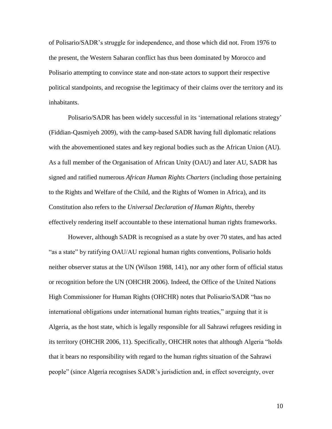of Polisario/SADR's struggle for independence, and those which did not. From 1976 to the present, the Western Saharan conflict has thus been dominated by Morocco and Polisario attempting to convince state and non-state actors to support their respective political standpoints, and recognise the legitimacy of their claims over the territory and its inhabitants.

Polisario/SADR has been widely successful in its 'international relations strategy' (Fiddian-Qasmiyeh 2009), with the camp-based SADR having full diplomatic relations with the abovementioned states and key regional bodies such as the African Union (AU). As a full member of the Organisation of African Unity (OAU) and later AU, SADR has signed and ratified numerous *African Human Rights Charters* (including those pertaining to the Rights and Welfare of the Child, and the Rights of Women in Africa), and its Constitution also refers to the *Universal Declaration of Human Rights*, thereby effectively rendering itself accountable to these international human rights frameworks.

However, although SADR is recognised as a state by over 70 states, and has acted "as a state" by ratifying OAU/AU regional human rights conventions, Polisario holds neither observer status at the UN (Wilson 1988, 141), nor any other form of official status or recognition before the UN (OHCHR 2006). Indeed, the Office of the United Nations High Commissioner for Human Rights (OHCHR) notes that Polisario/SADR "has no international obligations under international human rights treaties," arguing that it is Algeria, as the host state, which is legally responsible for all Sahrawi refugees residing in its territory (OHCHR 2006, 11). Specifically, OHCHR notes that although Algeria "holds that it bears no responsibility with regard to the human rights situation of the Sahrawi people" (since Algeria recognises SADR's jurisdiction and, in effect sovereignty, over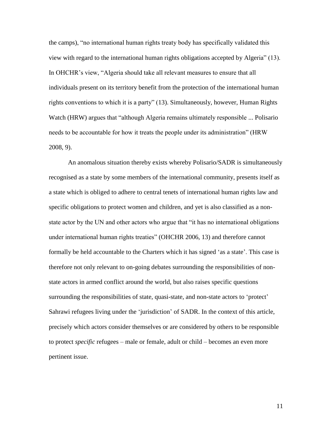the camps), "no international human rights treaty body has specifically validated this view with regard to the international human rights obligations accepted by Algeria" (13). In OHCHR's view, "Algeria should take all relevant measures to ensure that all individuals present on its territory benefit from the protection of the international human rights conventions to which it is a party" (13). Simultaneously, however, Human Rights Watch (HRW) argues that "although Algeria remains ultimately responsible ... Polisario needs to be accountable for how it treats the people under its administration" (HRW 2008, 9).

An anomalous situation thereby exists whereby Polisario/SADR is simultaneously recognised as a state by some members of the international community, presents itself as a state which is obliged to adhere to central tenets of international human rights law and specific obligations to protect women and children, and yet is also classified as a nonstate actor by the UN and other actors who argue that "it has no international obligations under international human rights treaties" (OHCHR 2006, 13) and therefore cannot formally be held accountable to the Charters which it has signed 'as a state'. This case is therefore not only relevant to on-going debates surrounding the responsibilities of nonstate actors in armed conflict around the world, but also raises specific questions surrounding the responsibilities of state, quasi-state, and non-state actors to 'protect' Sahrawi refugees living under the 'jurisdiction' of SADR. In the context of this article, precisely which actors consider themselves or are considered by others to be responsible to protect *specific* refugees – male or female, adult or child – becomes an even more pertinent issue.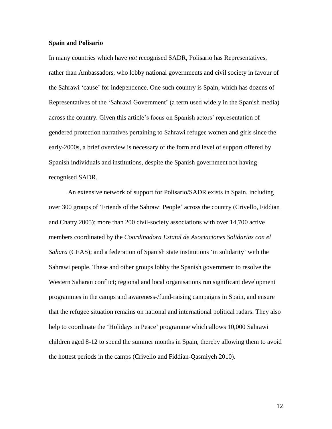## **Spain and Polisario**

In many countries which have *not* recognised SADR, Polisario has Representatives, rather than Ambassadors, who lobby national governments and civil society in favour of the Sahrawi 'cause' for independence. One such country is Spain, which has dozens of Representatives of the 'Sahrawi Government' (a term used widely in the Spanish media) across the country. Given this article's focus on Spanish actors' representation of gendered protection narratives pertaining to Sahrawi refugee women and girls since the early-2000s, a brief overview is necessary of the form and level of support offered by Spanish individuals and institutions, despite the Spanish government not having recognised SADR.

An extensive network of support for Polisario/SADR exists in Spain, including over 300 groups of 'Friends of the Sahrawi People' across the country (Crivello, Fiddian and Chatty 2005); more than 200 civil-society associations with over 14,700 active members coordinated by the *Coordinadora Estatal de Asociaciones Solidarias con el Sahara* (CEAS); and a federation of Spanish state institutions 'in solidarity' with the Sahrawi people. These and other groups lobby the Spanish government to resolve the Western Saharan conflict; regional and local organisations run significant development programmes in the camps and awareness-/fund-raising campaigns in Spain, and ensure that the refugee situation remains on national and international political radars. They also help to coordinate the 'Holidays in Peace' programme which allows 10,000 Sahrawi children aged 8-12 to spend the summer months in Spain, thereby allowing them to avoid the hottest periods in the camps (Crivello and Fiddian-Qasmiyeh 2010).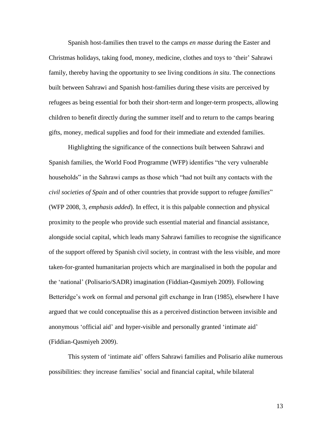Spanish host-families then travel to the camps *en masse* during the Easter and Christmas holidays, taking food, money, medicine, clothes and toys to 'their' Sahrawi family, thereby having the opportunity to see living conditions *in situ*. The connections built between Sahrawi and Spanish host-families during these visits are perceived by refugees as being essential for both their short-term and longer-term prospects, allowing children to benefit directly during the summer itself and to return to the camps bearing gifts, money, medical supplies and food for their immediate and extended families.

Highlighting the significance of the connections built between Sahrawi and Spanish families, the World Food Programme (WFP) identifies "the very vulnerable households" in the Sahrawi camps as those which "had not built any contacts with the *civil societies of Spain* and of other countries that provide support to refugee *families*" (WFP 2008, 3, *emphasis added*). In effect, it is this palpable connection and physical proximity to the people who provide such essential material and financial assistance, alongside social capital, which leads many Sahrawi families to recognise the significance of the support offered by Spanish civil society, in contrast with the less visible, and more taken-for-granted humanitarian projects which are marginalised in both the popular and the 'national' (Polisario/SADR) imagination (Fiddian-Qasmiyeh 2009). Following Betteridge's work on formal and personal gift exchange in Iran (1985), elsewhere I have argued that we could conceptualise this as a perceived distinction between invisible and anonymous 'official aid' and hyper-visible and personally granted 'intimate aid' (Fiddian-Qasmiyeh 2009).

This system of 'intimate aid' offers Sahrawi families and Polisario alike numerous possibilities: they increase families' social and financial capital, while bilateral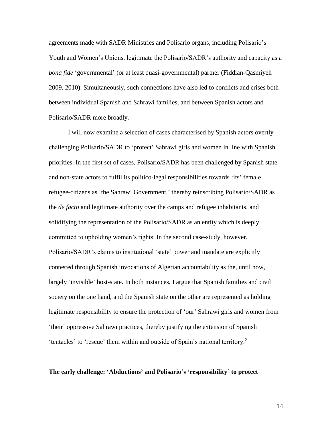agreements made with SADR Ministries and Polisario organs, including Polisario's Youth and Women's Unions, legitimate the Polisario/SADR's authority and capacity as a *bona fide* 'governmental' (or at least quasi-governmental) partner (Fiddian-Qasmiyeh 2009, 2010). Simultaneously, such connections have also led to conflicts and crises both between individual Spanish and Sahrawi families, and between Spanish actors and Polisario/SADR more broadly.

I will now examine a selection of cases characterised by Spanish actors overtly challenging Polisario/SADR to 'protect' Sahrawi girls and women in line with Spanish priorities. In the first set of cases, Polisario/SADR has been challenged by Spanish state and non-state actors to fulfil its politico-legal responsibilities towards 'its' female refugee-citizens as 'the Sahrawi Government,' thereby reinscribing Polisario/SADR as the *de facto* and legitimate authority over the camps and refugee inhabitants, and solidifying the representation of the Polisario/SADR as an entity which is deeply committed to upholding women's rights. In the second case-study, however, Polisario/SADR's claims to institutional 'state' power and mandate are explicitly contested through Spanish invocations of Algerian accountability as the, until now, largely 'invisible' host-state. In both instances, I argue that Spanish families and civil society on the one hand, and the Spanish state on the other are represented as holding legitimate responsibility to ensure the protection of 'our' Sahrawi girls and women from 'their' oppressive Sahrawi practices, thereby justifying the extension of Spanish 'tentacles' to 'rescue' them within and outside of Spain's national territory.<sup>2</sup>

#### **The early challenge: 'Abductions' and Polisario's 'responsibility' to protect**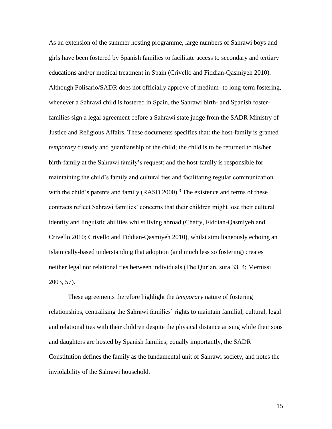As an extension of the summer hosting programme, large numbers of Sahrawi boys and girls have been fostered by Spanish families to facilitate access to secondary and tertiary educations and/or medical treatment in Spain (Crivello and Fiddian-Qasmiyeh 2010). Although Polisario/SADR does not officially approve of medium- to long-term fostering, whenever a Sahrawi child is fostered in Spain, the Sahrawi birth- and Spanish fosterfamilies sign a legal agreement before a Sahrawi state judge from the SADR Ministry of Justice and Religious Affairs. These documents specifies that: the host-family is granted *temporary* custody and guardianship of the child; the child is to be returned to his/her birth-family at the Sahrawi family's request; and the host-family is responsible for maintaining the child's family and cultural ties and facilitating regular communication with the child's parents and family  $(RASD 2000)$ .<sup>3</sup> The existence and terms of these contracts reflect Sahrawi families' concerns that their children might lose their cultural identity and linguistic abilities whilst living abroad (Chatty, Fiddian-Qasmiyeh and Crivello 2010; Crivello and Fiddian-Qasmiyeh 2010), whilst simultaneously echoing an Islamically-based understanding that adoption (and much less so fostering) creates neither legal nor relational ties between individuals (The Qur'an, sura 33, 4; Mernissi 2003, 57).

These agreements therefore highlight the *temporary* nature of fostering relationships, centralising the Sahrawi families' rights to maintain familial, cultural, legal and relational ties with their children despite the physical distance arising while their sons and daughters are hosted by Spanish families; equally importantly, the SADR Constitution defines the family as the fundamental unit of Sahrawi society, and notes the inviolability of the Sahrawi household.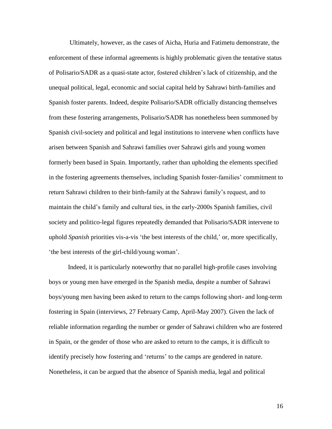Ultimately, however, as the cases of Aicha, Huria and Fatimetu demonstrate, the enforcement of these informal agreements is highly problematic given the tentative status of Polisario/SADR as a quasi-state actor, fostered children's lack of citizenship, and the unequal political, legal, economic and social capital held by Sahrawi birth-families and Spanish foster parents. Indeed, despite Polisario/SADR officially distancing themselves from these fostering arrangements, Polisario/SADR has nonetheless been summoned by Spanish civil-society and political and legal institutions to intervene when conflicts have arisen between Spanish and Sahrawi families over Sahrawi girls and young women formerly been based in Spain. Importantly, rather than upholding the elements specified in the fostering agreements themselves, including Spanish foster-families' commitment to return Sahrawi children to their birth-family at the Sahrawi family's request, and to maintain the child's family and cultural ties, in the early-2000s Spanish families, civil society and politico-legal figures repeatedly demanded that Polisario/SADR intervene to uphold *Spanish* priorities vis-a-vis 'the best interests of the child,' or, more specifically, 'the best interests of the girl-child/young woman'.

Indeed, it is particularly noteworthy that no parallel high-profile cases involving boys or young men have emerged in the Spanish media, despite a number of Sahrawi boys/young men having been asked to return to the camps following short- and long-term fostering in Spain (interviews, 27 February Camp, April-May 2007). Given the lack of reliable information regarding the number or gender of Sahrawi children who are fostered in Spain, or the gender of those who are asked to return to the camps, it is difficult to identify precisely how fostering and 'returns' to the camps are gendered in nature. Nonetheless, it can be argued that the absence of Spanish media, legal and political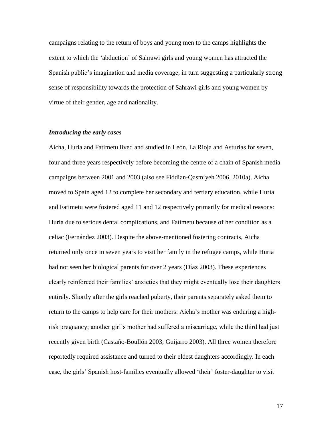campaigns relating to the return of boys and young men to the camps highlights the extent to which the 'abduction' of Sahrawi girls and young women has attracted the Spanish public's imagination and media coverage, in turn suggesting a particularly strong sense of responsibility towards the protection of Sahrawi girls and young women by virtue of their gender, age and nationality.

### *Introducing the early cases*

Aicha, Huria and Fatimetu lived and studied in León, La Rioja and Asturias for seven, four and three years respectively before becoming the centre of a chain of Spanish media campaigns between 2001 and 2003 (also see Fiddian-Qasmiyeh 2006, 2010a). Aicha moved to Spain aged 12 to complete her secondary and tertiary education, while Huria and Fatimetu were fostered aged 11 and 12 respectively primarily for medical reasons: Huria due to serious dental complications, and Fatimetu because of her condition as a celiac (Fernández 2003). Despite the above-mentioned fostering contracts, Aicha returned only once in seven years to visit her family in the refugee camps, while Huria had not seen her biological parents for over 2 years (Díaz 2003). These experiences clearly reinforced their families' anxieties that they might eventually lose their daughters entirely. Shortly after the girls reached puberty, their parents separately asked them to return to the camps to help care for their mothers: Aicha's mother was enduring a highrisk pregnancy; another girl's mother had suffered a miscarriage, while the third had just recently given birth (Castaño-Boullón 2003; Guijarro 2003). All three women therefore reportedly required assistance and turned to their eldest daughters accordingly. In each case, the girls' Spanish host-families eventually allowed 'their' foster-daughter to visit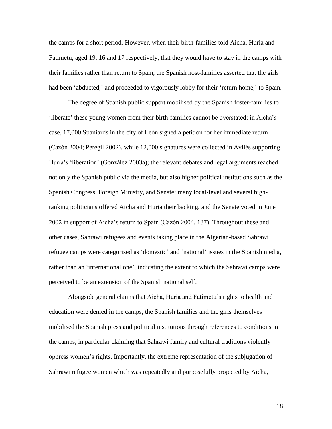the camps for a short period. However, when their birth-families told Aicha, Huria and Fatimetu, aged 19, 16 and 17 respectively, that they would have to stay in the camps with their families rather than return to Spain, the Spanish host-families asserted that the girls had been 'abducted,' and proceeded to vigorously lobby for their 'return home,' to Spain.

The degree of Spanish public support mobilised by the Spanish foster-families to 'liberate' these young women from their birth-families cannot be overstated: in Aicha's case, 17,000 Spaniards in the city of León signed a petition for her immediate return (Cazón 2004; Peregil 2002), while 12,000 signatures were collected in Avilés supporting Huria's 'liberation' (González 2003a); the relevant debates and legal arguments reached not only the Spanish public via the media, but also higher political institutions such as the Spanish Congress, Foreign Ministry, and Senate; many local-level and several highranking politicians offered Aicha and Huria their backing, and the Senate voted in June 2002 in support of Aicha's return to Spain (Cazón 2004, 187). Throughout these and other cases, Sahrawi refugees and events taking place in the Algerian-based Sahrawi refugee camps were categorised as 'domestic' and 'national' issues in the Spanish media, rather than an 'international one', indicating the extent to which the Sahrawi camps were perceived to be an extension of the Spanish national self.

Alongside general claims that Aicha, Huria and Fatimetu's rights to health and education were denied in the camps, the Spanish families and the girls themselves mobilised the Spanish press and political institutions through references to conditions in the camps, in particular claiming that Sahrawi family and cultural traditions violently oppress women's rights. Importantly, the extreme representation of the subjugation of Sahrawi refugee women which was repeatedly and purposefully projected by Aicha,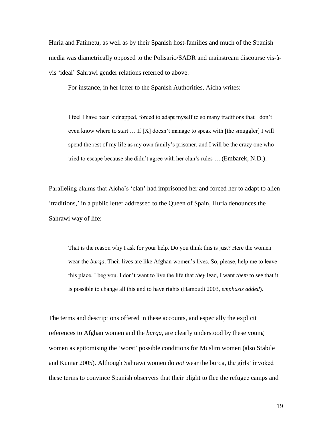Huria and Fatimetu, as well as by their Spanish host-families and much of the Spanish media was diametrically opposed to the Polisario/SADR and mainstream discourse vis-àvis 'ideal' Sahrawi gender relations referred to above.

For instance, in her letter to the Spanish Authorities, Aicha writes:

I feel I have been kidnapped, forced to adapt myself to so many traditions that I don't even know where to start  $\dots$  If [X] doesn't manage to speak with [the smuggler] I will spend the rest of my life as my own family's prisoner, and I will be the crazy one who tried to escape because she didn't agree with her clan's rules … (Embarek, N.D.).

Paralleling claims that Aicha's 'clan' had imprisoned her and forced her to adapt to alien 'traditions,' in a public letter addressed to the Queen of Spain, Huria denounces the Sahrawi way of life:

That is the reason why I ask for your help. Do you think this is just? Here the women wear the *burqa*. Their lives are like Afghan women's lives. So, please, help me to leave this place, I beg you. I don't want to live the life that *they* lead, I want *them* to see that it is possible to change all this and to have rights (Hamoudi 2003, *emphasis added*).

The terms and descriptions offered in these accounts, and especially the explicit references to Afghan women and the *burqa*, are clearly understood by these young women as epitomising the 'worst' possible conditions for Muslim women (also Stabile and Kumar 2005). Although Sahrawi women do *not* wear the burqa, the girls' invoked these terms to convince Spanish observers that their plight to flee the refugee camps and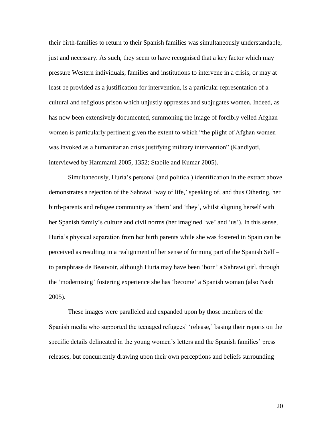their birth-families to return to their Spanish families was simultaneously understandable, just and necessary. As such, they seem to have recognised that a key factor which may pressure Western individuals, families and institutions to intervene in a crisis, or may at least be provided as a justification for intervention, is a particular representation of a cultural and religious prison which unjustly oppresses and subjugates women. Indeed, as has now been extensively documented, summoning the image of forcibly veiled Afghan women is particularly pertinent given the extent to which "the plight of Afghan women was invoked as a humanitarian crisis justifying military intervention" (Kandiyoti, interviewed by Hammami 2005, 1352; Stabile and Kumar 2005).

Simultaneously, Huria's personal (and political) identification in the extract above demonstrates a rejection of the Sahrawi 'way of life,' speaking of, and thus Othering, her birth-parents and refugee community as 'them' and 'they', whilst aligning herself with her Spanish family's culture and civil norms (her imagined 'we' and 'us'). In this sense, Huria's physical separation from her birth parents while she was fostered in Spain can be perceived as resulting in a realignment of her sense of forming part of the Spanish Self – to paraphrase de Beauvoir, although Huria may have been 'born' a Sahrawi girl, through the 'modernising' fostering experience she has 'become' a Spanish woman (also Nash 2005).

These images were paralleled and expanded upon by those members of the Spanish media who supported the teenaged refugees' 'release,' basing their reports on the specific details delineated in the young women's letters and the Spanish families' press releases, but concurrently drawing upon their own perceptions and beliefs surrounding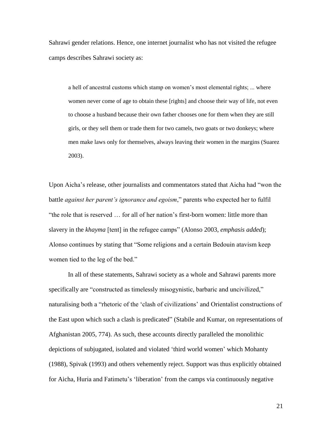Sahrawi gender relations. Hence, one internet journalist who has not visited the refugee camps describes Sahrawi society as:

a hell of ancestral customs which stamp on women's most elemental rights; ... where women never come of age to obtain these [rights] and choose their way of life, not even to choose a husband because their own father chooses one for them when they are still girls, or they sell them or trade them for two camels, two goats or two donkeys; where men make laws only for themselves, always leaving their women in the margins (Suarez 2003).

Upon Aicha's release, other journalists and commentators stated that Aicha had "won the battle *against her parent's ignorance and egoism*," parents who expected her to fulfil "the role that is reserved … for all of her nation's first-born women: little more than slavery in the *khayma* [tent] in the refugee camps" (Alonso 2003, *emphasis added*); Alonso continues by stating that "Some religions and a certain Bedouin atavism keep women tied to the leg of the bed."

In all of these statements, Sahrawi society as a whole and Sahrawi parents more specifically are "constructed as timelessly misogynistic, barbaric and uncivilized," naturalising both a "rhetoric of the 'clash of civilizations' and Orientalist constructions of the East upon which such a clash is predicated" (Stabile and Kumar, on representations of Afghanistan 2005, 774). As such, these accounts directly paralleled the monolithic depictions of subjugated, isolated and violated 'third world women' which Mohanty (1988), Spivak (1993) and others vehemently reject. Support was thus explicitly obtained for Aicha, Huria and Fatimetu's 'liberation' from the camps via continuously negative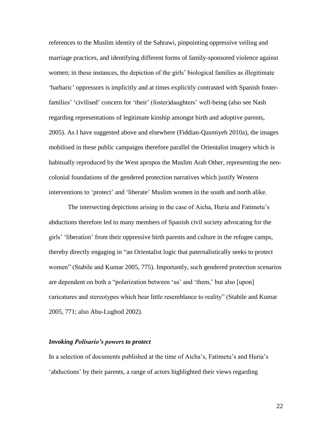references to the Muslim identity of the Sahrawi, pinpointing oppressive veiling and marriage practices, and identifying different forms of family-sponsored violence against women; in these instances, the depiction of the girls' biological families as illegitimate 'barbaric' oppressors is implicitly and at times explicitly contrasted with Spanish fosterfamilies' 'civilised' concern for 'their' (foster)daughters' well-being (also see Nash regarding representations of legitimate kinship amongst birth and adoptive parents, 2005). As I have suggested above and elsewhere (Fiddian-Qasmiyeh 2010a), the images mobilised in these public campaigns therefore parallel the Orientalist imagery which is habitually reproduced by the West apropos the Muslim Arab Other, representing the neocolonial foundations of the gendered protection narratives which justify Western interventions to 'protect' and 'liberate' Muslim women in the south and north alike.

The intersecting depictions arising in the case of Aicha, Huria and Fatimetu's abductions therefore led to many members of Spanish civil society advocating for the girls' 'liberation' from their oppressive birth parents and culture in the refugee camps, thereby directly engaging in "an Orientalist logic that paternalistically seeks to protect women" (Stabile and Kumar 2005, 775). Importantly, such gendered protection scenarios are dependent on both a "polarization between 'us' and 'them,' but also [upon] caricatures and stereotypes which bear little resemblance to reality" (Stabile and Kumar 2005, 771; also Abu-Lughod 2002).

## *Invoking Polisario's powers to protect*

In a selection of documents published at the time of Aicha's, Fatimetu's and Huria's 'abductions' by their parents, a range of actors highlighted their views regarding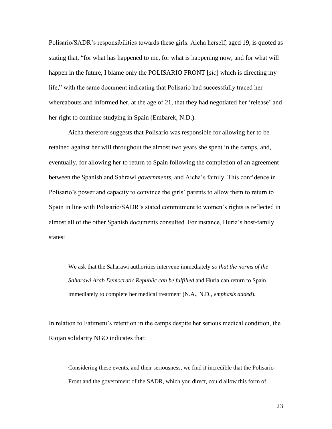Polisario/SADR's responsibilities towards these girls. Aicha herself, aged 19, is quoted as stating that, "for what has happened to me, for what is happening now, and for what will happen in the future, I blame only the POLISARIO FRONT [*sic*] which is directing my life," with the same document indicating that Polisario had successfully traced her whereabouts and informed her, at the age of 21, that they had negotiated her 'release' and her right to continue studying in Spain (Embarek, N.D.).

Aicha therefore suggests that Polisario was responsible for allowing her to be retained against her will throughout the almost two years she spent in the camps, and, eventually, for allowing her to return to Spain following the completion of an agreement between the Spanish and Sahrawi *governments*, and Aicha's family. This confidence in Polisario's power and capacity to convince the girls' parents to allow them to return to Spain in line with Polisario/SADR's stated commitment to women's rights is reflected in almost all of the other Spanish documents consulted. For instance, Huria's host-family states:

We ask that the Saharawi authorities intervene immediately *so that the norms of the Saharawi Arab Democratic Republic can be fulfilled* and Huria can return to Spain immediately to complete her medical treatment (N.A., N.D., *emphasis added*).

In relation to Fatimetu's retention in the camps despite her serious medical condition, the Riojan solidarity NGO indicates that:

Considering these events, and their seriousness, we find it incredible that the Polisario Front and the government of the SADR, which you direct, could allow this form of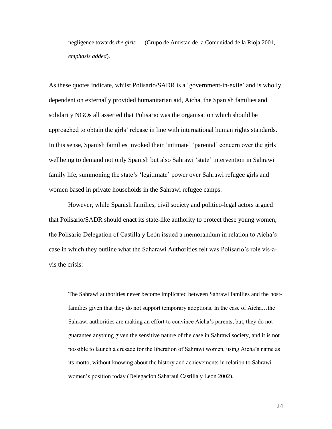negligence towards *the girls* … (Grupo de Amistad de la Comunidad de la Rioja 2001, *emphasis added*).

As these quotes indicate, whilst Polisario/SADR is a 'government-in-exile' and is wholly dependent on externally provided humanitarian aid, Aicha, the Spanish families and solidarity NGOs all asserted that Polisario was the organisation which should be approached to obtain the girls' release in line with international human rights standards. In this sense, Spanish families invoked their 'intimate' 'parental' concern over the girls' wellbeing to demand not only Spanish but also Sahrawi 'state' intervention in Sahrawi family life, summoning the state's 'legitimate' power over Sahrawi refugee girls and women based in private households in the Sahrawi refugee camps.

However, while Spanish families, civil society and politico-legal actors argued that Polisario/SADR should enact its state-like authority to protect these young women, the Polisario Delegation of Castilla y León issued a memorandum in relation to Aicha's case in which they outline what the Saharawi Authorities felt was Polisario's role vis-avis the crisis:

The Sahrawi authorities never become implicated between Sahrawi families and the hostfamilies given that they do not support temporary adoptions. In the case of Aicha…the Sahrawi authorities are making an effort to convince Aicha's parents, but, they do not guarantee anything given the sensitive nature of the case in Sahrawi society, and it is not possible to launch a crusade for the liberation of Sahrawi women, using Aicha's name as its motto, without knowing about the history and achievements in relation to Sahrawi women's position today (Delegación Saharaui Castilla y León 2002).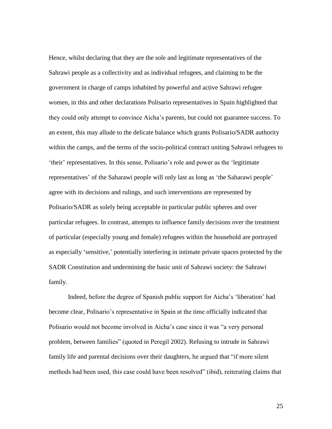Hence, whilst declaring that they are the sole and legitimate representatives of the Sahrawi people as a collectivity and as individual refugees, and claiming to be the government in charge of camps inhabited by powerful and active Sahrawi refugee women, in this and other declarations Polisario representatives in Spain highlighted that they could only attempt to convince Aicha's parents, but could not guarantee success. To an extent, this may allude to the delicate balance which grants Polisario/SADR authority within the camps, and the terms of the socio-political contract uniting Sahrawi refugees to 'their' representatives. In this sense, Polisario's role and power as the 'legitimate representatives' of the Saharawi people will only last as long as 'the Saharawi people' agree with its decisions and rulings, and such interventions are represented by Polisario/SADR as solely being acceptable in particular public spheres and over particular refugees. In contrast, attempts to influence family decisions over the treatment of particular (especially young and female) refugees within the household are portrayed as especially 'sensitive,' potentially interfering in intimate private spaces protected by the SADR Constitution and undermining the basic unit of Sahrawi society: the Sahrawi family.

Indeed, before the degree of Spanish public support for Aicha's 'liberation' had become clear, Polisario's representative in Spain at the time officially indicated that Polisario would not become involved in Aicha's case since it was "a very personal problem, between families" (quoted in Peregil 2002). Refusing to intrude in Sahrawi family life and parental decisions over their daughters, he argued that "if more silent methods had been used, this case could have been resolved" (ibid), reiterating claims that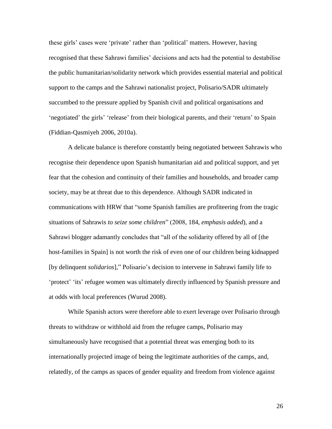these girls' cases were 'private' rather than 'political' matters. However, having recognised that these Sahrawi families' decisions and acts had the potential to destabilise the public humanitarian/solidarity network which provides essential material and political support to the camps and the Sahrawi nationalist project, Polisario/SADR ultimately succumbed to the pressure applied by Spanish civil and political organisations and 'negotiated' the girls' 'release' from their biological parents, and their 'return' to Spain (Fiddian-Qasmiyeh 2006, 2010a).

A delicate balance is therefore constantly being negotiated between Sahrawis who recognise their dependence upon Spanish humanitarian aid and political support, and yet fear that the cohesion and continuity of their families and households, and broader camp society, may be at threat due to this dependence. Although SADR indicated in communications with HRW that "some Spanish families are profiteering from the tragic situations of Sahrawis *to seize some children*" (2008, 184, *emphasis added*), and a Sahrawi blogger adamantly concludes that "all of the solidarity offered by all of [the host-families in Spain] is not worth the risk of even one of our children being kidnapped [by delinquent *solidarios*]," Polisario's decision to intervene in Sahrawi family life to 'protect' 'its' refugee women was ultimately directly influenced by Spanish pressure and at odds with local preferences (Wurud 2008).

While Spanish actors were therefore able to exert leverage over Polisario through threats to withdraw or withhold aid from the refugee camps, Polisario may simultaneously have recognised that a potential threat was emerging both to its internationally projected image of being the legitimate authorities of the camps, and, relatedly, of the camps as spaces of gender equality and freedom from violence against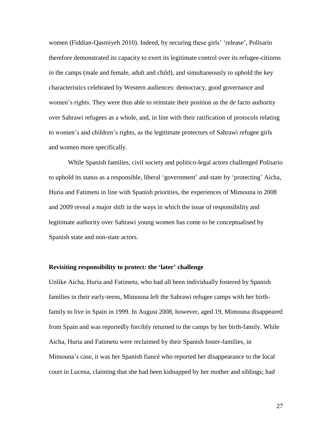women (Fiddian-Qasmiyeh 2010). Indeed, by securing these girls' 'release', Polisario therefore demonstrated its capacity to exert its legitimate control over its refugee-citizens in the camps (male and female, adult and child), and simultaneously to uphold the key characteristics celebrated by Western audiences: democracy, good governance and women's rights. They were thus able to reinstate their position as the de facto authority over Sahrawi refugees as a whole, and, in line with their ratification of protocols relating to women's and children's rights, as the legitimate protectors of Sahrawi refugee girls and women more specifically.

While Spanish families, civil society and politico-legal actors challenged Polisario to uphold its status as a responsible, liberal 'government' and state by 'protecting' Aicha, Huria and Fatimetu in line with Spanish priorities, the experiences of Mimouna in 2008 and 2009 reveal a major shift in the ways in which the issue of responsibility and legitimate authority over Sahrawi young women has come to be conceptualised by Spanish state and non-state actors.

# **Revisiting responsibility to protect: the 'later' challenge**

Unlike Aicha, Huria and Fatimetu, who had all been individually fostered by Spanish families in their early-teens, Mimouna left the Sahrawi refugee camps with her birthfamily to live in Spain in 1999. In August 2008, however, aged 19, Mimouna disappeared from Spain and was reportedly forcibly returned to the camps by her birth-family. While Aicha, Huria and Fatimetu were reclaimed by their Spanish foster-families, in Mimouna's case, it was her Spanish fiancé who reported her disappearance to the local court in Lucena, claiming that she had been kidnapped by her mother and siblings; had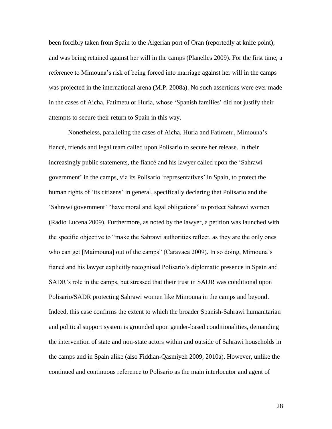been forcibly taken from Spain to the Algerian port of Oran (reportedly at knife point); and was being retained against her will in the camps (Planelles 2009). For the first time, a reference to Mimouna's risk of being forced into marriage against her will in the camps was projected in the international arena (M.P. 2008a). No such assertions were ever made in the cases of Aicha, Fatimetu or Huria, whose 'Spanish families' did not justify their attempts to secure their return to Spain in this way.

Nonetheless, paralleling the cases of Aicha, Huria and Fatimetu, Mimouna's fiancé, friends and legal team called upon Polisario to secure her release. In their increasingly public statements, the fiancé and his lawyer called upon the 'Sahrawi government' in the camps, via its Polisario 'representatives' in Spain, to protect the human rights of 'its citizens' in general, specifically declaring that Polisario and the 'Sahrawi government' "have moral and legal obligations" to protect Sahrawi women (Radio Lucena 2009). Furthermore, as noted by the lawyer, a petition was launched with the specific objective to "make the Sahrawi authorities reflect, as they are the only ones who can get [Maimouna] out of the camps" (Caravaca 2009). In so doing, Mimouna's fiancé and his lawyer explicitly recognised Polisario's diplomatic presence in Spain and SADR's role in the camps, but stressed that their trust in SADR was conditional upon Polisario/SADR protecting Sahrawi women like Mimouna in the camps and beyond. Indeed, this case confirms the extent to which the broader Spanish-Sahrawi humanitarian and political support system is grounded upon gender-based conditionalities, demanding the intervention of state and non-state actors within and outside of Sahrawi households in the camps and in Spain alike (also Fiddian-Qasmiyeh 2009, 2010a). However, unlike the continued and continuous reference to Polisario as the main interlocutor and agent of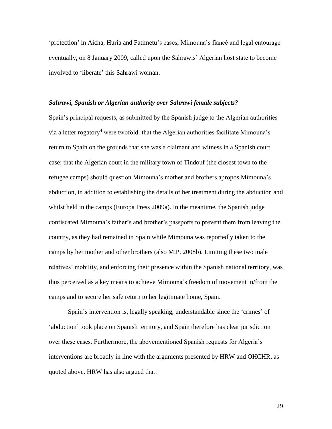'protection' in Aicha, Huria and Fatimetu's cases, Mimouna's fiancé and legal entourage eventually, on 8 January 2009, called upon the Sahrawis' Algerian host state to become involved to 'liberate' this Sahrawi woman.

### *Sahrawi, Spanish or Algerian authority over Sahrawi female subjects?*

Spain's principal requests, as submitted by the Spanish judge to the Algerian authorities via a letter rogatory<sup>4</sup> were twofold: that the Algerian authorities facilitate Mimouna's return to Spain on the grounds that she was a claimant and witness in a Spanish court case; that the Algerian court in the military town of Tindouf (the closest town to the refugee camps) should question Mimouna's mother and brothers apropos Mimouna's abduction, in addition to establishing the details of her treatment during the abduction and whilst held in the camps (Europa Press 2009a). In the meantime, the Spanish judge confiscated Mimouna's father's and brother's passports to prevent them from leaving the country, as they had remained in Spain while Mimouna was reportedly taken to the camps by her mother and other brothers (also M.P. 2008b). Limiting these two male relatives' mobility, and enforcing their presence within the Spanish national territory, was thus perceived as a key means to achieve Mimouna's freedom of movement in/from the camps and to secure her safe return to her legitimate home, Spain.

Spain's intervention is, legally speaking, understandable since the 'crimes' of 'abduction' took place on Spanish territory, and Spain therefore has clear jurisdiction over these cases. Furthermore, the abovementioned Spanish requests for Algeria's interventions are broadly in line with the arguments presented by HRW and OHCHR, as quoted above. HRW has also argued that: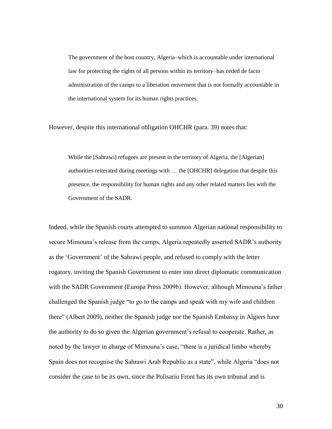The government of the host country, Algeria–which is accountable under international law for protecting the rights of all persons within its territory–has ceded de facto administration of the camps to a liberation movement that is not formally accountable in the international system for its human rights practices.

However, despite this international obligation OHCHR (para. 39) notes that:

While the [Sahrawi] refugees are present in the territory of Algeria, the [Algerian] authorities reiterated during meetings with … the [OHCHR] delegation that despite this presence, the responsibility for human rights and any other related matters lies with the Government of the SADR.

Indeed, while the Spanish courts attempted to summon Algerian national responsibility to secure Mimouna's release from the camps, Algeria repeatedly asserted SADR's authority as the 'Government' of the Sahrawi people, and refused to comply with the letter rogatory, inviting the Spanish Government to enter into direct diplomatic communication with the SADR Government (Europa Press 2009b). However, although Mimouna's father challenged the Spanish judge "to go to the camps and speak with my wife and children there" (Albert 2009), neither the Spanish judge nor the Spanish Embassy in Algiers have the authority to do so given the Algerian government's refusal to cooperate. Rather, as noted by the lawyer in charge of Mimouna's case, "there is a juridical limbo whereby Spain does not recognise the Sahrawi Arab Republic as a state", while Algeria "does not consider the case to be its own, since the Polisario Front has its own tribunal and is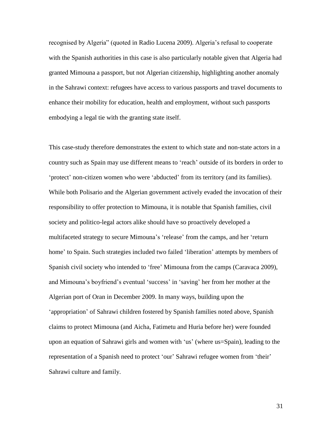recognised by Algeria" (quoted in Radio Lucena 2009). Algeria's refusal to cooperate with the Spanish authorities in this case is also particularly notable given that Algeria had granted Mimouna a passport, but not Algerian citizenship, highlighting another anomaly in the Sahrawi context: refugees have access to various passports and travel documents to enhance their mobility for education, health and employment, without such passports embodying a legal tie with the granting state itself.

This case-study therefore demonstrates the extent to which state and non-state actors in a country such as Spain may use different means to 'reach' outside of its borders in order to 'protect' non-citizen women who were 'abducted' from its territory (and its families). While both Polisario and the Algerian government actively evaded the invocation of their responsibility to offer protection to Mimouna, it is notable that Spanish families, civil society and politico-legal actors alike should have so proactively developed a multifaceted strategy to secure Mimouna's 'release' from the camps, and her 'return home' to Spain. Such strategies included two failed 'liberation' attempts by members of Spanish civil society who intended to 'free' Mimouna from the camps (Caravaca 2009), and Mimouna's boyfriend's eventual 'success' in 'saving' her from her mother at the Algerian port of Oran in December 2009. In many ways, building upon the 'appropriation' of Sahrawi children fostered by Spanish families noted above, Spanish claims to protect Mimouna (and Aicha, Fatimetu and Huria before her) were founded upon an equation of Sahrawi girls and women with 'us' (where us=Spain), leading to the representation of a Spanish need to protect 'our' Sahrawi refugee women from 'their' Sahrawi culture and family.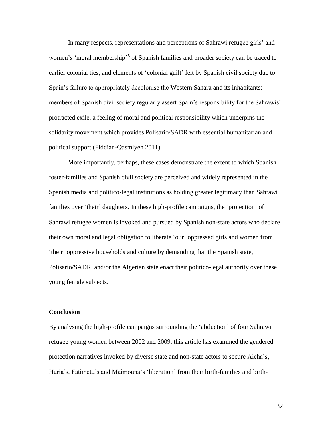In many respects, representations and perceptions of Sahrawi refugee girls' and women's 'moral membership'<sup>5</sup> of Spanish families and broader society can be traced to earlier colonial ties, and elements of 'colonial guilt' felt by Spanish civil society due to Spain's failure to appropriately decolonise the Western Sahara and its inhabitants; members of Spanish civil society regularly assert Spain's responsibility for the Sahrawis' protracted exile, a feeling of moral and political responsibility which underpins the solidarity movement which provides Polisario/SADR with essential humanitarian and political support (Fiddian-Qasmiyeh 2011).

More importantly, perhaps, these cases demonstrate the extent to which Spanish foster-families and Spanish civil society are perceived and widely represented in the Spanish media and politico-legal institutions as holding greater legitimacy than Sahrawi families over 'their' daughters. In these high-profile campaigns, the 'protection' of Sahrawi refugee women is invoked and pursued by Spanish non-state actors who declare their own moral and legal obligation to liberate 'our' oppressed girls and women from 'their' oppressive households and culture by demanding that the Spanish state, Polisario/SADR, and/or the Algerian state enact their politico-legal authority over these young female subjects.

### **Conclusion**

By analysing the high-profile campaigns surrounding the 'abduction' of four Sahrawi refugee young women between 2002 and 2009, this article has examined the gendered protection narratives invoked by diverse state and non-state actors to secure Aicha's, Huria's, Fatimetu's and Maimouna's 'liberation' from their birth-families and birth-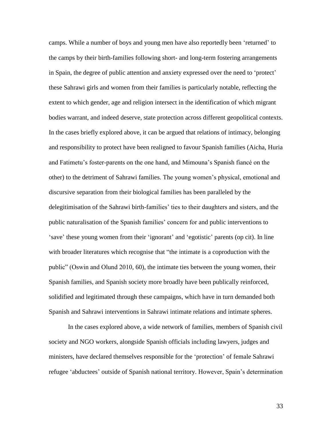camps. While a number of boys and young men have also reportedly been 'returned' to the camps by their birth-families following short- and long-term fostering arrangements in Spain, the degree of public attention and anxiety expressed over the need to 'protect' these Sahrawi girls and women from their families is particularly notable, reflecting the extent to which gender, age and religion intersect in the identification of which migrant bodies warrant, and indeed deserve, state protection across different geopolitical contexts. In the cases briefly explored above, it can be argued that relations of intimacy, belonging and responsibility to protect have been realigned to favour Spanish families (Aicha, Huria and Fatimetu's foster-parents on the one hand, and Mimouna's Spanish fiancé on the other) to the detriment of Sahrawi families. The young women's physical, emotional and discursive separation from their biological families has been paralleled by the delegitimisation of the Sahrawi birth-families' ties to their daughters and sisters, and the public naturalisation of the Spanish families' concern for and public interventions to 'save' these young women from their 'ignorant' and 'egotistic' parents (op cit). In line with broader literatures which recognise that "the intimate is a coproduction with the public" (Oswin and Olund 2010, 60), the intimate ties between the young women, their Spanish families, and Spanish society more broadly have been publically reinforced, solidified and legitimated through these campaigns, which have in turn demanded both Spanish and Sahrawi interventions in Sahrawi intimate relations and intimate spheres.

In the cases explored above, a wide network of families, members of Spanish civil society and NGO workers, alongside Spanish officials including lawyers, judges and ministers, have declared themselves responsible for the 'protection' of female Sahrawi refugee 'abductees' outside of Spanish national territory. However, Spain's determination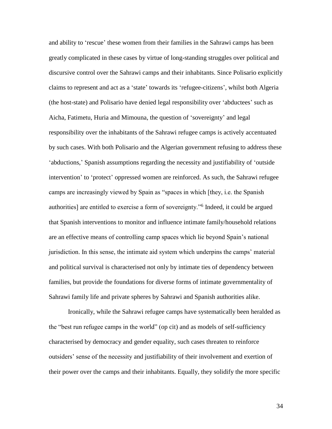and ability to 'rescue' these women from their families in the Sahrawi camps has been greatly complicated in these cases by virtue of long-standing struggles over political and discursive control over the Sahrawi camps and their inhabitants. Since Polisario explicitly claims to represent and act as a 'state' towards its 'refugee-citizens', whilst both Algeria (the host-state) and Polisario have denied legal responsibility over 'abductees' such as Aicha, Fatimetu, Huria and Mimouna, the question of 'sovereignty' and legal responsibility over the inhabitants of the Sahrawi refugee camps is actively accentuated by such cases. With both Polisario and the Algerian government refusing to address these 'abductions,' Spanish assumptions regarding the necessity and justifiability of 'outside intervention' to 'protect' oppressed women are reinforced. As such, the Sahrawi refugee camps are increasingly viewed by Spain as "spaces in which [they, i.e. the Spanish authorities] are entitled to exercise a form of sovereignty."<sup>6</sup> Indeed, it could be argued that Spanish interventions to monitor and influence intimate family/household relations are an effective means of controlling camp spaces which lie beyond Spain's national jurisdiction. In this sense, the intimate aid system which underpins the camps' material and political survival is characterised not only by intimate ties of dependency between families, but provide the foundations for diverse forms of intimate governmentality of Sahrawi family life and private spheres by Sahrawi and Spanish authorities alike.

Ironically, while the Sahrawi refugee camps have systematically been heralded as the "best run refugee camps in the world" (op cit) and as models of self-sufficiency characterised by democracy and gender equality, such cases threaten to reinforce outsiders' sense of the necessity and justifiability of their involvement and exertion of their power over the camps and their inhabitants. Equally, they solidify the more specific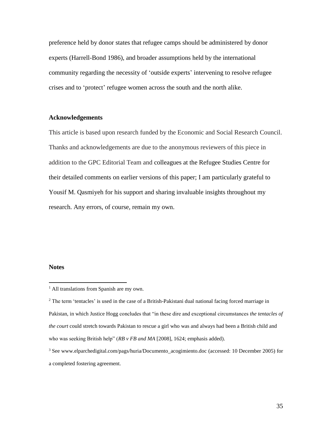preference held by donor states that refugee camps should be administered by donor experts (Harrell-Bond 1986), and broader assumptions held by the international community regarding the necessity of 'outside experts' intervening to resolve refugee crises and to 'protect' refugee women across the south and the north alike.

# **Acknowledgements**

This article is based upon research funded by the Economic and Social Research Council. Thanks and acknowledgements are due to the anonymous reviewers of this piece in addition to the GPC Editorial Team and colleagues at the Refugee Studies Centre for their detailed comments on earlier versions of this paper; I am particularly grateful to Yousif M. Qasmiyeh for his support and sharing invaluable insights throughout my research. Any errors, of course, remain my own.

#### **Notes**

 $\overline{a}$ 

<sup>&</sup>lt;sup>1</sup> All translations from Spanish are my own.

 $2$  The term 'tentacles' is used in the case of a British-Pakistani dual national facing forced marriage in Pakistan, in which Justice Hogg concludes that "in these dire and exceptional circumstances *the tentacles of the court* could stretch towards Pakistan to rescue a girl who was and always had been a British child and who was seeking British help" (*RB v FB and MA* [2008], 1624; emphasis added).

<sup>3</sup> See www.elparchedigital.com/pags/huria/Documento\_acogimiento.doc (accessed: 10 December 2005) for a completed fostering agreement.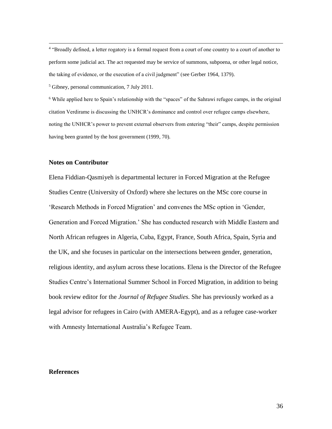<sup>4</sup> "Broadly defined, a letter rogatory is a formal request from a court of one country to a court of another to perform some judicial act. The act requested may be service of summons, subpoena, or other legal notice, the taking of evidence, or the execution of a civil judgment" (see Gerber 1964, 1379).

<sup>5</sup> Gibney, personal communication, 7 July 2011.

<sup>6</sup> While applied here to Spain's relationship with the "spaces" of the Sahrawi refugee camps, in the original citation Verdirame is discussing the UNHCR's dominance and control over refugee camps elsewhere, noting the UNHCR's power to prevent external observers from entering "their" camps, despite permission having been granted by the host government (1999, 70).

## **Notes on Contributor**

 $\overline{a}$ 

Elena Fiddian-Qasmiyeh is departmental lecturer in Forced Migration at the Refugee Studies Centre (University of Oxford) where she lectures on the MSc core course in 'Research Methods in Forced Migration' and convenes the MSc option in 'Gender, Generation and Forced Migration.' She has conducted research with Middle Eastern and North African refugees in Algeria, Cuba, Egypt, France, South Africa, Spain, Syria and the UK, and she focuses in particular on the intersections between gender, generation, religious identity, and asylum across these locations. Elena is the Director of the Refugee Studies Centre's International Summer School in Forced Migration, in addition to being book review editor for the *Journal of Refugee Studies.* She has previously worked as a legal advisor for refugees in Cairo (with AMERA-Egypt), and as a refugee case-worker with Amnesty International Australia's Refugee Team.

#### **References**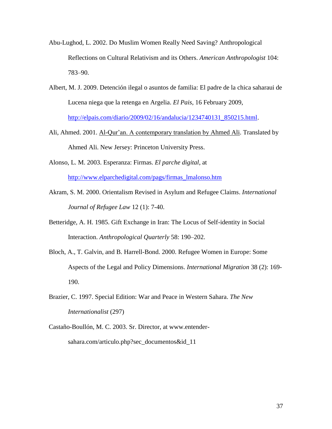- Abu-Lughod, L. 2002. Do Muslim Women Really Need Saving? Anthropological Reflections on Cultural Relativism and its Others. *American Anthropologist* 104: 783–90.
- Albert, M. J. 2009. Detención ilegal o asuntos de familia: El padre de la chica saharaui de Lucena niega que la retenga en Argelia. *El Pais*, 16 February 2009, [http://elpais.com/diario/2009/02/16/andalucia/1234740131\\_850215.html.](http://elpais.com/diario/2009/02/16/andalucia/1234740131_850215.html)
- Ali, Ahmed. 2001. Al-Qur'an. A contemporary translation by Ahmed Ali. Translated by Ahmed Ali. New Jersey: Princeton University Press.
- Alonso, L. M. 2003. Esperanza: Firmas. *El parche digital*, at [http://www.elparchedigital.com/pags/firmas\\_lmalonso.htm](http://www.elparchedigital.com/pags/firmas_lmalonso.htm)
- Akram, S. M. 2000. Orientalism Revised in Asylum and Refugee Claims. *International Journal of Refugee Law* 12 (1): 7-40.
- Betteridge, A. H. 1985. Gift Exchange in Iran: The Locus of Self-identity in Social Interaction. *Anthropological Quarterly* 58: 190–202.
- Bloch, A., T. Galvin, and B. Harrell-Bond. 2000. Refugee Women in Europe: Some Aspects of the Legal and Policy Dimensions. *International Migration* 38 (2): 169- 190.
- Brazier, C. 1997. Special Edition: War and Peace in Western Sahara. *The New Internationalist* (297)
- Castaño-Boullón, M. C. 2003. Sr. Director, at www.entendersahara.com/articulo.php?sec\_documentos&id\_11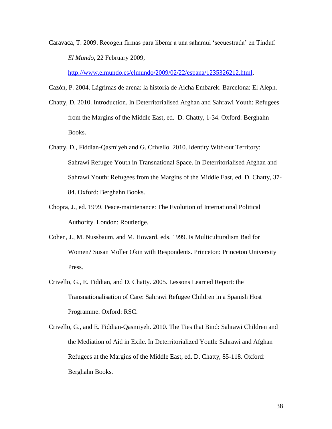Caravaca, T. 2009. Recogen firmas para liberar a una saharaui 'secuestrada' en Tinduf. *El Mundo*, 22 February 2009,

[http://www.elmundo.es/elmundo/2009/02/22/espana/1235326212.html.](http://www.elmundo.es/elmundo/2009/02/22/espana/1235326212.html)

Cazón, P. 2004. Lágrimas de arena: la historia de Aicha Embarek. Barcelona: El Aleph.

- Chatty, D. 2010. Introduction. In Deterritorialised Afghan and Sahrawi Youth: Refugees from the Margins of the Middle East, ed. D. Chatty, 1-34. Oxford: Berghahn Books.
- Chatty, D., Fiddian-Qasmiyeh and G. Crivello. 2010. Identity With/out Territory: Sahrawi Refugee Youth in Transnational Space. In Deterritorialised Afghan and Sahrawi Youth: Refugees from the Margins of the Middle East, ed. D. Chatty, 37- 84. Oxford: Berghahn Books.
- Chopra, J., ed. 1999. Peace-maintenance: The Evolution of International Political Authority. London: Routledge.
- Cohen, J., M. Nussbaum, and M. Howard, eds. 1999. Is Multiculturalism Bad for Women? Susan Moller Okin with Respondents. Princeton: Princeton University Press.
- Crivello, G., E. Fiddian, and D. Chatty. 2005. Lessons Learned Report: the Transnationalisation of Care: Sahrawi Refugee Children in a Spanish Host Programme. Oxford: RSC.
- Crivello, G., and E. Fiddian-Qasmiyeh. 2010. The Ties that Bind: Sahrawi Children and the Mediation of Aid in Exile. In Deterritorialized Youth: Sahrawi and Afghan Refugees at the Margins of the Middle East, ed. D. Chatty, 85-118. Oxford: Berghahn Books.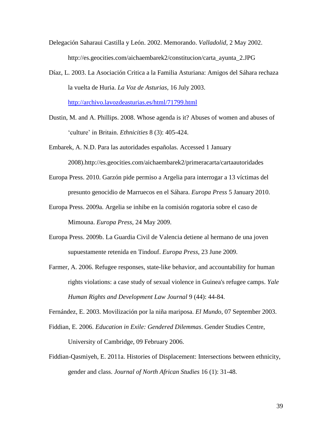- Delegación Saharaui Castilla y León. 2002. Memorando. *Valladolid*, 2 May 2002. http://es.geocities.com/aichaembarek2/constitucion/carta\_ayunta\_2.JPG
- Díaz, L. 2003. La Asociación Critica a la Familia Asturiana: Amigos del Sáhara rechaza la vuelta de Huria. *La Voz de Asturias*, 16 July 2003. <http://archivo.lavozdeasturias.es/html/71799.html>
- Dustin, M. and A. Phillips. 2008. Whose agenda is it? Abuses of women and abuses of 'culture' in Britain. *Ethnicities* 8 (3): 405-424.
- Embarek, A. N.D. Para las autoridades españolas. Accessed 1 January 2008).http://es.geocities.com/aichaembarek2/primeracarta/cartaautoridades
- Europa Press. 2010. Garzón pide permiso a Argelia para interrogar a 13 víctimas del presunto genocidio de Marruecos en el Sáhara. *Europa Press* 5 January 2010.
- Europa Press. 2009a. Argelia se inhibe en la comisión rogatoria sobre el caso de Mimouna. *Europa Press*, 24 May 2009.
- Europa Press. 2009b. La Guardia Civil de Valencia detiene al hermano de una joven supuestamente retenida en Tindouf. *Europa Press*, 23 June 2009.
- Farmer, A. 2006. Refugee responses, state-like behavior, and accountability for human rights violations: a case study of sexual violence in Guinea's refugee camps. *Yale Human Rights and Development Law Journal* 9 (44): 44-84.

Fernández, E. 2003. Movilización por la niña mariposa. *El Mundo*, 07 September 2003.

- Fiddian, E. 2006. *Education in Exile: Gendered Dilemmas*. Gender Studies Centre, University of Cambridge, 09 February 2006.
- Fiddian-Qasmiyeh, E. 2011a. Histories of Displacement: Intersections between ethnicity, gender and class. *Journal of North African Studies* 16 (1): 31-48.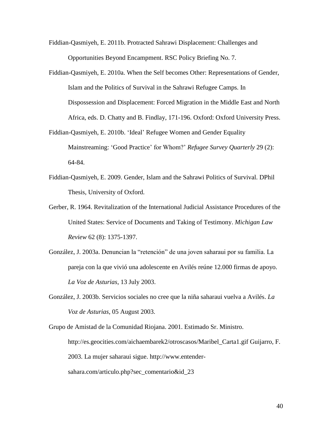- Fiddian-Qasmiyeh, E. 2011b. Protracted Sahrawi Displacement: Challenges and Opportunities Beyond Encampment. RSC Policy Briefing No. 7.
- Fiddian-Qasmiyeh, E. 2010a. When the Self becomes Other: Representations of Gender, Islam and the Politics of Survival in the Sahrawi Refugee Camps. In Dispossession and Displacement: Forced Migration in the Middle East and North Africa, eds. D. Chatty and B. Findlay, 171-196. Oxford: Oxford University Press.
- Fiddian-Qasmiyeh, E. 2010b. 'Ideal' Refugee Women and Gender Equality Mainstreaming: 'Good Practice' for Whom?' *Refugee Survey Quarterly* 29 (2): 64-84.
- Fiddian-Qasmiyeh, E. 2009. Gender, Islam and the Sahrawi Politics of Survival. DPhil Thesis, University of Oxford.
- Gerber, R. 1964. Revitalization of the International Judicial Assistance Procedures of the United States: Service of Documents and Taking of Testimony. *Michigan Law Review* 62 (8): 1375-1397.
- González, J. 2003a. Denuncian la "retención" de una joven saharaui por su familia. La pareja con la que vivió una adolescente en Avilés reúne 12.000 firmas de apoyo. *La Voz de Asturias*, 13 July 2003.
- González, J. 2003b. Servicios sociales no cree que la niña saharaui vuelva a Avilés. *La Voz de Asturias*, 05 August 2003.

Grupo de Amistad de la Comunidad Riojana. 2001. Estimado Sr. Ministro. http://es.geocities.com/aichaembarek2/otroscasos/Maribel\_Carta1.gif Guijarro, F. 2003. La mujer saharaui sigue. http://www.entendersahara.com/articulo.php?sec\_comentario&id\_23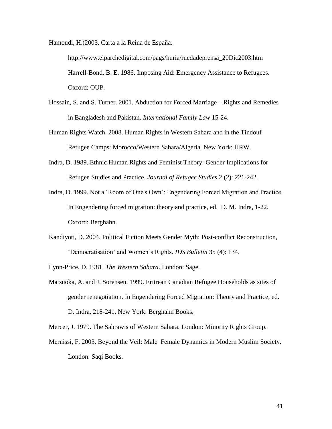Hamoudi, H.(2003. Carta a la Reina de España.

http://www.elparchedigital.com/pags/huria/ruedadeprensa\_20Dic2003.htm Harrell-Bond, B. E. 1986. Imposing Aid: Emergency Assistance to Refugees. Oxford: OUP.

- Hossain, S. and S. Turner. 2001. Abduction for Forced Marriage Rights and Remedies in Bangladesh and Pakistan. *International Family Law* 15-24.
- Human Rights Watch. 2008. Human Rights in Western Sahara and in the Tindouf Refugee Camps: Morocco/Western Sahara/Algeria. New York: HRW.
- Indra, D. 1989. Ethnic Human Rights and Feminist Theory: Gender Implications for Refugee Studies and Practice. *Journal of Refugee Studies* 2 (2): 221-242.
- Indra, D. 1999. Not a 'Room of One's Own': Engendering Forced Migration and Practice. In Engendering forced migration: theory and practice, ed. D. M. Indra, 1-22. Oxford: Berghahn.
- Kandiyoti, D. 2004. Political Fiction Meets Gender Myth: Post-conflict Reconstruction, 'Democratisation' and Women's Rights. *IDS Bulletin* 35 (4): 134.

Lynn-Price, D. 1981. *The Western Sahara*. London: Sage.

Matsuoka, A. and J. Sorensen. 1999. Eritrean Canadian Refugee Households as sites of gender renegotiation. In Engendering Forced Migration: Theory and Practice, ed. D. Indra, 218-241. New York: Berghahn Books.

Mercer, J. 1979. The Sahrawis of Western Sahara. London: Minority Rights Group.

Mernissi, F. 2003. Beyond the Veil: Male–Female Dynamics in Modern Muslim Society. London: Saqi Books.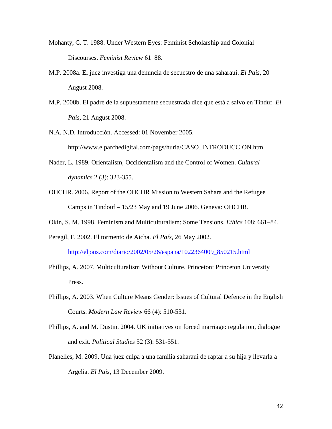- Mohanty, C. T. 1988. Under Western Eyes: Feminist Scholarship and Colonial Discourses. *Feminist Review* 61–88.
- M.P. 2008a. El juez investiga una denuncia de secuestro de una saharaui. *El Pais*, 20 August 2008.
- M.P. 2008b. El padre de la supuestamente secuestrada dice que está a salvo en Tinduf. *El País*, 21 August 2008.
- N.A. N.D. Introducción. Accessed: 01 November 2005.

http://www.elparchedigital.com/pags/huria/CASO\_INTRODUCCION.htm

- Nader, L. 1989. Orientalism, Occidentalism and the Control of Women. *Cultural dynamics* 2 (3): 323-355.
- OHCHR. 2006. Report of the OHCHR Mission to Western Sahara and the Refugee Camps in Tindouf – 15/23 May and 19 June 2006. Geneva: OHCHR.
- Okin, S. M. 1998. Feminism and Multiculturalism: Some Tensions. *Ethics* 108: 661–84.
- Peregil, F. 2002. El tormento de Aicha. *El País*, 26 May 2002.

[http://elpais.com/diario/2002/05/26/espana/1022364009\\_850215.html](http://elpais.com/diario/2002/05/26/espana/1022364009_850215.html)

- Phillips, A. 2007. Multiculturalism Without Culture. Princeton: Princeton University Press.
- Phillips, A. 2003. When Culture Means Gender: Issues of Cultural Defence in the English Courts. *Modern Law Review* 66 (4): 510-531.
- Phillips, A. and M. Dustin. 2004. UK initiatives on forced marriage: regulation, dialogue and exit. *Political Studies* 52 (3): 531-551.
- Planelles, M. 2009. Una juez culpa a una familia saharaui de raptar a su hija y llevarla a Argelia. *El Pais*, 13 December 2009.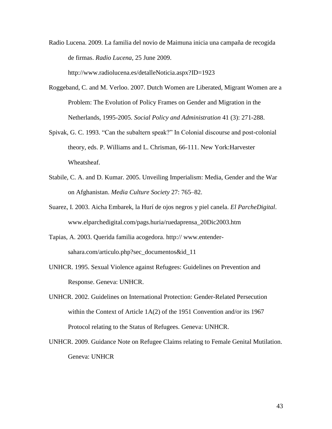Radio Lucena. 2009. La familia del novio de Maimuna inicia una campaña de recogida de firmas. *Radio Lucena*, 25 June 2009.

http://www.radiolucena.es/detalleNoticia.aspx?ID=1923

- Roggeband, C. and M. Verloo. 2007. Dutch Women are Liberated, Migrant Women are a Problem: The Evolution of Policy Frames on Gender and Migration in the Netherlands, 1995-2005. *Social Policy and Administration* 41 (3): 271-288.
- Spivak, G. C. 1993. "Can the subaltern speak?" In Colonial discourse and post-colonial theory, eds. P. Williams and L. Chrisman, 66-111. New York:Harvester Wheatsheaf.
- Stabile, C. A. and D. Kumar. 2005. Unveiling Imperialism: Media, Gender and the War on Afghanistan. *Media Culture Society* 27: 765–82.
- Suarez, I. 2003. Aicha Embarek, la Hurí de ojos negros y piel canela. *El ParcheDigital*. www.elparchedigital.com/pags.huria/ruedaprensa\_20Dic2003.htm
- Tapias, A. 2003. Querida familia acogedora. http:// www.entendersahara.com/articulo.php?sec\_documentos&id\_11
- UNHCR. 1995. Sexual Violence against Refugees: Guidelines on Prevention and Response. Geneva: UNHCR.
- UNHCR. 2002. Guidelines on International Protection: Gender-Related Persecution within the Context of Article 1A(2) of the 1951 Convention and/or its 1967 Protocol relating to the Status of Refugees. Geneva: UNHCR.
- UNHCR. 2009. Guidance Note on Refugee Claims relating to Female Genital Mutilation. Geneva: UNHCR